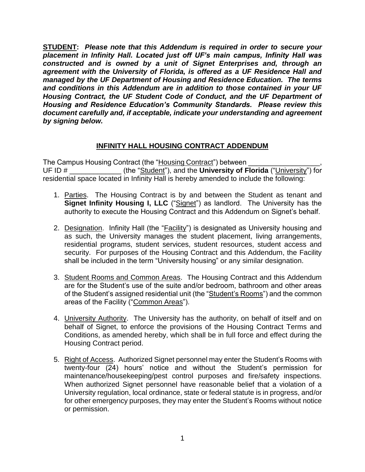**STUDENT:** *Please note that this Addendum is required in order to secure your placement in Infinity Hall. Located just off UF's main campus, Infinity Hall was constructed and is owned by a unit of Signet Enterprises and, through an agreement with the University of Florida, is offered as a UF Residence Hall and managed by the UF Department of Housing and Residence Education. The terms and conditions in this Addendum are in addition to those contained in your UF Housing Contract, the UF Student Code of Conduct, and the UF Department of Housing and Residence Education's Community Standards. Please review this document carefully and, if acceptable, indicate your understanding and agreement by signing below.*

## **INFINITY HALL HOUSING CONTRACT ADDENDUM**

The Campus Housing Contract (the "Housing Contract") between UF ID #  $($ the "Student"), and the **University of Florida** ("University") for residential space located in Infinity Hall is hereby amended to include the following:

- 1. Parties. The Housing Contract is by and between the Student as tenant and **Signet Infinity Housing I, LLC** ("Signet") as landlord. The University has the authority to execute the Housing Contract and this Addendum on Signet's behalf.
- 2. Designation. Infinity Hall (the "Facility") is designated as University housing and as such, the University manages the student placement, living arrangements, residential programs, student services, student resources, student access and security. For purposes of the Housing Contract and this Addendum, the Facility shall be included in the term "University housing" or any similar designation.
- 3. Student Rooms and Common Areas. The Housing Contract and this Addendum are for the Student's use of the suite and/or bedroom, bathroom and other areas of the Student's assigned residential unit (the "Student's Rooms") and the common areas of the Facility ("Common Areas").
- 4. University Authority. The University has the authority, on behalf of itself and on behalf of Signet, to enforce the provisions of the Housing Contract Terms and Conditions, as amended hereby, which shall be in full force and effect during the Housing Contract period.
- 5. Right of Access. Authorized Signet personnel may enter the Student's Rooms with twenty-four (24) hours' notice and without the Student's permission for maintenance/housekeeping/pest control purposes and fire/safety inspections. When authorized Signet personnel have reasonable belief that a violation of a University regulation, local ordinance, state or federal statute is in progress, and/or for other emergency purposes, they may enter the Student's Rooms without notice or permission.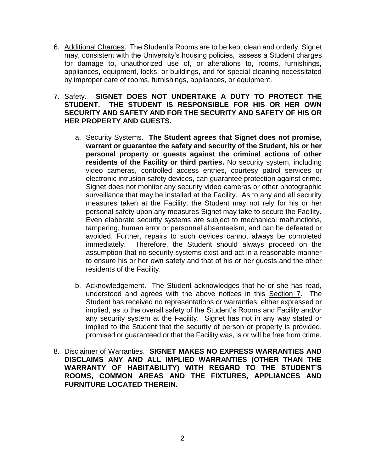- 6. Additional Charges. The Student's Rooms are to be kept clean and orderly. Signet may, consistent with the University's housing policies, assess a Student charges for damage to, unauthorized use of, or alterations to, rooms, furnishings, appliances, equipment, locks, or buildings, and for special cleaning necessitated by improper care of rooms, furnishings, appliances, or equipment.
- 7. Safety. **SIGNET DOES NOT UNDERTAKE A DUTY TO PROTECT THE STUDENT. THE STUDENT IS RESPONSIBLE FOR HIS OR HER OWN SECURITY AND SAFETY AND FOR THE SECURITY AND SAFETY OF HIS OR HER PROPERTY AND GUESTS.**
	- a. Security Systems. **The Student agrees that Signet does not promise, warrant or guarantee the safety and security of the Student, his or her personal property or guests against the criminal actions of other residents of the Facility or third parties.** No security system, including video cameras, controlled access entries, courtesy patrol services or electronic intrusion safety devices, can guarantee protection against crime. Signet does not monitor any security video cameras or other photographic surveillance that may be installed at the Facility. As to any and all security measures taken at the Facility, the Student may not rely for his or her personal safety upon any measures Signet may take to secure the Facility. Even elaborate security systems are subject to mechanical malfunctions, tampering, human error or personnel absenteeism, and can be defeated or avoided. Further, repairs to such devices cannot always be completed immediately. Therefore, the Student should always proceed on the assumption that no security systems exist and act in a reasonable manner to ensure his or her own safety and that of his or her guests and the other residents of the Facility.
	- b. Acknowledgement. The Student acknowledges that he or she has read, understood and agrees with the above notices in this Section 7. The Student has received no representations or warranties, either expressed or implied, as to the overall safety of the Student's Rooms and Facility and/or any security system at the Facility. Signet has not in any way stated or implied to the Student that the security of person or property is provided, promised or guaranteed or that the Facility was, is or will be free from crime.
- 8. Disclaimer of Warranties. **SIGNET MAKES NO EXPRESS WARRANTIES AND DISCLAIMS ANY AND ALL IMPLIED WARRANTIES (OTHER THAN THE WARRANTY OF HABITABILITY) WITH REGARD TO THE STUDENT'S ROOMS, COMMON AREAS AND THE FIXTURES, APPLIANCES AND FURNITURE LOCATED THEREIN.**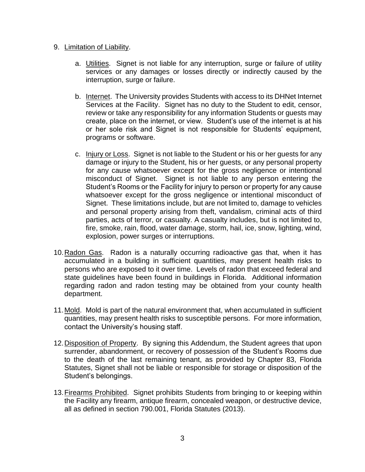## 9. Limitation of Liability.

- a. Utilities. Signet is not liable for any interruption, surge or failure of utility services or any damages or losses directly or indirectly caused by the interruption, surge or failure.
- b. Internet. The University provides Students with access to its DHNet Internet Services at the Facility. Signet has no duty to the Student to edit, censor, review or take any responsibility for any information Students or guests may create, place on the internet, or view. Student's use of the internet is at his or her sole risk and Signet is not responsible for Students' equipment, programs or software.
- c. Injury or Loss. Signet is not liable to the Student or his or her guests for any damage or injury to the Student, his or her guests, or any personal property for any cause whatsoever except for the gross negligence or intentional misconduct of Signet. Signet is not liable to any person entering the Student's Rooms or the Facility for injury to person or property for any cause whatsoever except for the gross negligence or intentional misconduct of Signet. These limitations include, but are not limited to, damage to vehicles and personal property arising from theft, vandalism, criminal acts of third parties, acts of terror, or casualty. A casualty includes, but is not limited to, fire, smoke, rain, flood, water damage, storm, hail, ice, snow, lighting, wind, explosion, power surges or interruptions.
- 10.Radon Gas. Radon is a naturally occurring radioactive gas that, when it has accumulated in a building in sufficient quantities, may present health risks to persons who are exposed to it over time. Levels of radon that exceed federal and state guidelines have been found in buildings in Florida. Additional information regarding radon and radon testing may be obtained from your county health department.
- 11.Mold. Mold is part of the natural environment that, when accumulated in sufficient quantities, may present health risks to susceptible persons. For more information, contact the University's housing staff.
- 12.Disposition of Property. By signing this Addendum, the Student agrees that upon surrender, abandonment, or recovery of possession of the Student's Rooms due to the death of the last remaining tenant, as provided by Chapter 83, Florida Statutes, Signet shall not be liable or responsible for storage or disposition of the Student's belongings.
- 13.Firearms Prohibited. Signet prohibits Students from bringing to or keeping within the Facility any firearm, antique firearm, concealed weapon, or destructive device, all as defined in section 790.001, Florida Statutes (2013).